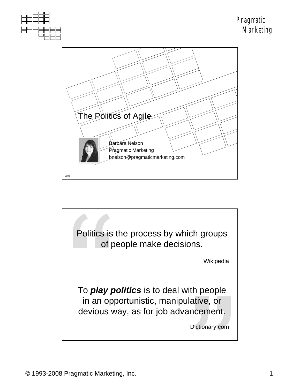

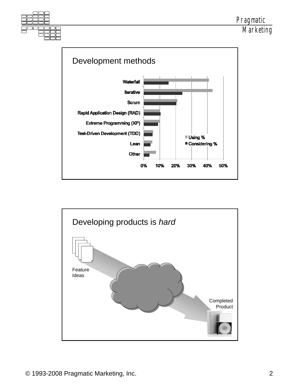

Pragmatic **Marketing** 



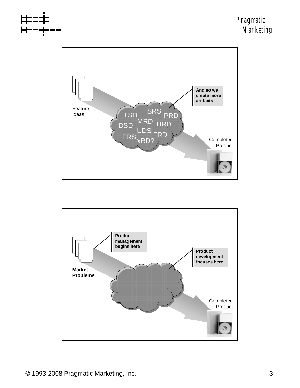

Completed Product

 $^\copyright$ 



**MRD** 

xRD?

UDS<sub>FRD</sub>

**BRD** 

FRS

DSD

Feature Ideas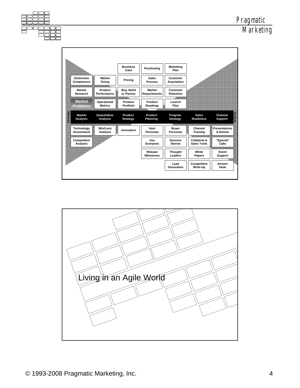**Tactical**

|                  |                                  |                               | <b>Business</b><br>Case     | Positioning                          | Marketing<br>Plan                |                                    |                                 |
|------------------|----------------------------------|-------------------------------|-----------------------------|--------------------------------------|----------------------------------|------------------------------------|---------------------------------|
|                  | <b>Distinctive</b><br>Competence | <b>Market</b><br>Sizing       | Pricing                     | <b>Sales</b><br><b>Process</b>       | Customer<br><b>Acquisition</b>   |                                    |                                 |
|                  | Market<br>Research               | Product<br>Performance        | Buy, Build<br>or Partner    | <b>Market</b><br><b>Requirements</b> | <b>Customer</b><br>Retention     |                                    |                                 |
|                  | <b>Market</b><br><b>Problems</b> | Operational<br><b>Metrics</b> | Product<br><b>Portfolio</b> | Product<br>Roadmap                   | Launch<br>Plan                   |                                    |                                 |
| <b>Strategic</b> | <b>Market</b><br>Analysis        | Quantitative<br>Analysis      | Product<br><b>Strategy</b>  | Product<br>Planning                  | Program<br><b>Strategy</b>       | <b>Sales</b><br><b>Readiness</b>   | Channel<br><b>Support</b>       |
|                  | Technology<br><b>Assessment</b>  | Win/Loss<br>Analysis          | Innovation                  | User<br>Personas                     | <b>Buyer</b><br>Personas         | Channel<br><b>Training</b>         | <b>Presentations</b><br>& Demos |
|                  | Competitive<br>Analysis          |                               |                             | Use<br><b>Scenarios</b>              | <b>Success</b><br><b>Stories</b> | Collateral &<br><b>Sales Tools</b> | "Special"<br>Calls              |
|                  |                                  |                               |                             | Release<br><b>Milestones</b>         | <b>Thought</b><br>Leaders        | White<br>Papers                    | Event<br><b>Support</b>         |
|                  |                                  |                               |                             |                                      | Lead<br>Generation               | Competitive<br>Write-Up            | Answer<br>Desk                  |

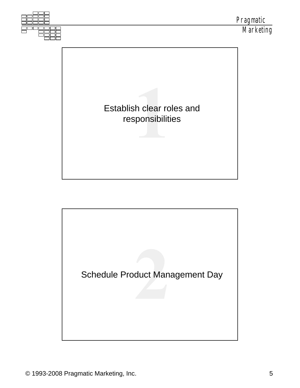

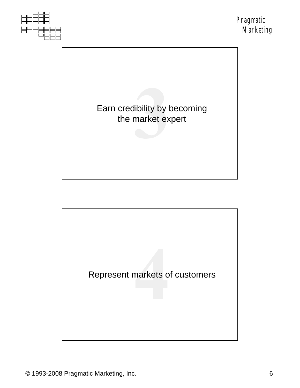

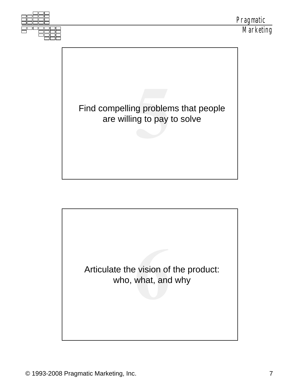

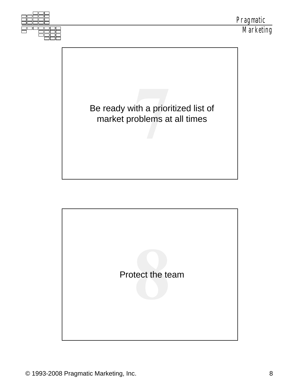

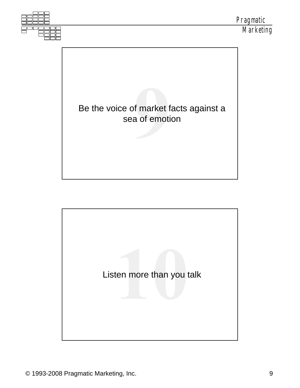

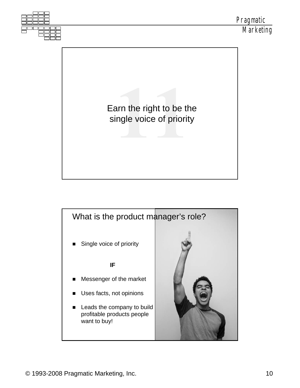

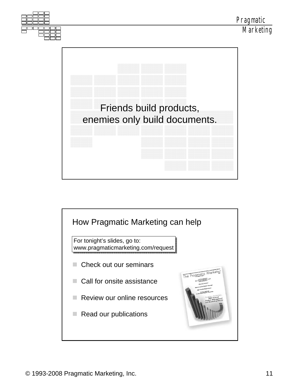